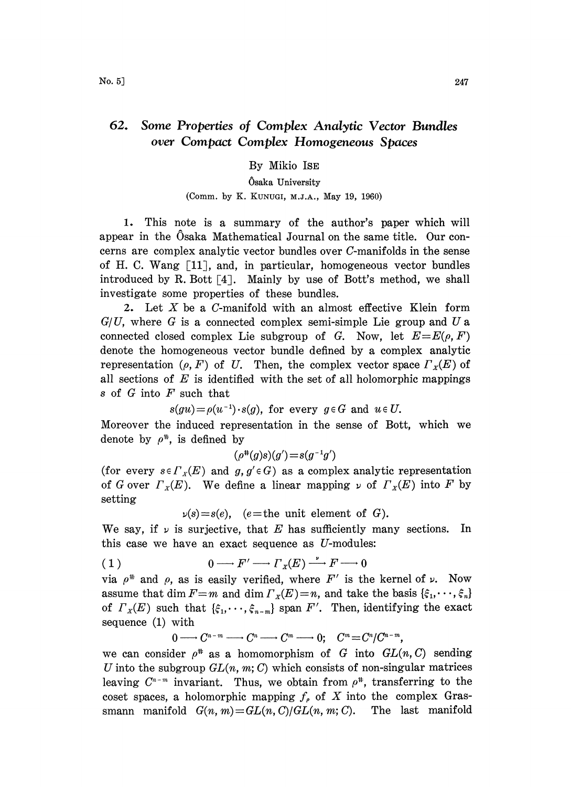## 62. Some Properties of Complex Analytic Vector Bundles over Compact Complex Homogeneous Spaces

### By Mikio ISE

# Osaka University

### (Comm. by K. KUNUGI, M.J.A., May 19, 1960)

1. This note is a summary of the author's paper which will appear in the Osaka Mathematical Journal on the same title. Our concerns are complex analytic vector bundles over C-manifolds in the sense of H. C. Wang [11], and, in particular, homogeneous vector bundles introduced by R. Bott  $\lceil 4 \rceil$ . Mainly by use of Bott's method, we shall investigate some properties of these bundles.

2. Let X be <sup>a</sup> C-manifold with an almost effective Klein form  $G/U$ , where G is a connected complex semi-simple Lie group and U a connected closed complex Lie subgroup of G. Now, let  $E=E(\rho, F)$ denote the homogeneous vector bundle defined by a complex analytic representation ( $\rho$ , F) of U. Then, the complex vector space  $\Gamma_X(E)$  of all sections of  $E$  is identified with the set of all holomorphic mappings s of  $G$  into  $F$  such that

$$
s(gu) = \rho(u^{-1}) \cdot s(g), \text{ for every } g \in G \text{ and } u \in U.
$$

Moreover the induced representation in the sense of Bott, which we denote by  $\rho^*$ , is defined by

$$
(\rho^{\text{#}}(g)s)(g')\!=\!s(g^{-1}g')
$$

(for every  $s \in \Gamma_x(E)$  and  $g, g' \in G$ ) as a complex analytic representation of G over  $\Gamma_x(E)$ . We define a linear mapping  $\nu$  of  $\Gamma_x(E)$  into F by setting

 $\nu(s)=s(e)$ , (e=the unit element of G).

We say, if  $\nu$  is surjective, that E has sufficiently many sections. In this case we have an exact sequence as  $U$ -modules:

(1) 
$$
0 \longrightarrow F' \longrightarrow \Gamma_X(E) \stackrel{\nu}{\longrightarrow} F \longrightarrow 0
$$

via  $\rho^*$  and  $\rho$ , as is easily verified, where F' is the kernel of  $\nu$ . Now assume that dim  $F=m$  and dim  $\Gamma_x(E)=n$ , and take the basis  $\{\xi_1,\dots,\xi_n\}$ of  $\Gamma_X(E)$  such that  $\{\xi_1, \dots, \xi_{n-m}\}$  span  $F'$ . Then, identifying the exact sequence (1) with

 $0 \longrightarrow C^{n-m} \longrightarrow C^n \longrightarrow C^m \longrightarrow 0:$   $C^m = C^n/C^{n-m}$ .

we can consider  $\rho^*$  as a homomorphism of G into  $GL(n, C)$  sending U into the subgroup  $GL(n, m; C)$  which consists of non-singular matrices leaving  $C^{n-m}$  invariant. Thus, we obtain from  $\rho^*$ , transferring to the coset spaces, a holomorphic mapping  $f<sub>e</sub>$  of X into the complex Grassmann manifold  $G(n, m) = GL(n, C)/GL(n, m; C)$ . The last manifold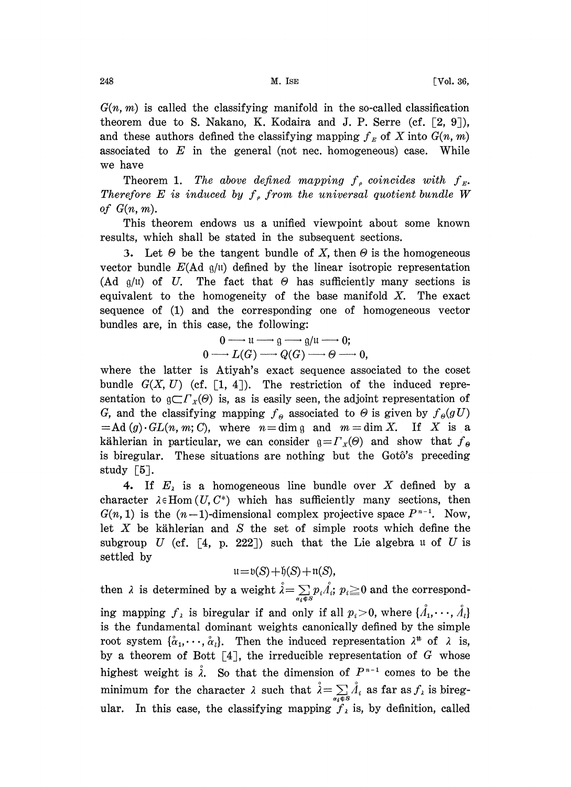$G(n, m)$  is called the classifying manifold in the so-called classification theorem due to S. Nakano, K. Kodaira and J. P. Serre (cf.  $[2, 9]$ ), and these authors defined the classifying mapping  $f<sub>E</sub>$  of X into  $G(n, m)$ associated to  $E$  in the general (not nec. homogeneous) case. While we have

Theorem 1. The above defined mapping  $f_e$  coincides with  $f_{E}$ . Therefore E is induced by  $f_{\rho}$  from the universal quotient bundle W of  $G(n, m)$ .

This theorem endows us a unified viewpoint about some known results, which shall be stated in the subsequent sections.

3. Let  $\Theta$  be the tangent bundle of X, then  $\Theta$  is the homogeneous vector bundle  $E(\text{Ad } g/\mathfrak{u})$  defined by the linear isotropic representation (Ad  $g/u$ ) of U. The fact that  $\Theta$  has sufficiently many sections is equivalent to the homogeneity of the base manifold  $X$ . The exact sequence of (1) and the corresponding one of homogeneous vector bundles are, in this case, the following:

$$
0 \longrightarrow u \longrightarrow g \longrightarrow g/u \longrightarrow 0;
$$
  

$$
0 \longrightarrow L(G) \longrightarrow Q(G) \longrightarrow \Theta \longrightarrow 0,
$$

where the latter is Atiyah's exact sequence associated to the coset bundle  $G(X, U)$  (cf. [1, 4]). The restriction of the induced representation to  $\mathfrak{g} \subset \Gamma_x(\Theta)$  is, as is easily seen, the adjoint representation of G, and the classifying mapping  $f_{\theta}$  associated to  $\Theta$  is given by  $f_{\theta}(gU)$  $=$ Ad(g). GL(n, m; C), where  $n=$  dim g and  $m=$  dim X. If X is a kählerian in particular, we can consider  $g = \Gamma_x(\theta)$  and show that  $f_{\theta}$ is biregular. These situations are nothing but the Gotô's preceding study  $[5]$ .

4. If  $E_i$  is a homogeneous line bundle over X defined by a character  $\lambda \in$  Hom $(U, C^*)$  which has sufficiently many sections, then  $G(n, 1)$  is the  $(n-1)$ -dimensional complex projective space  $P^{n-1}$ . Now, let  $X$  be kählerian and  $S$  the set of simple roots which define the subgroup U (cf.  $\lceil 4, p. 222 \rceil$ ) such that the Lie algebra u of U is settled by

$$
\mathfrak{u} = \mathfrak{b}(S) + \mathfrak{h}(S) + \mathfrak{n}(S),
$$

then  $\lambda$  is determined by a weight  $\lambda = \sum_{\alpha_i \notin S} p_i \Lambda_i$ ;  $p_i \ge 0$  and the corresponding mapping  $f_{\lambda}$  is biregular if and only if all  $p_i > 0$ , where  $\{\hat{A}_1, \dots, \hat{A}_i\}$  is the fundamental dominant weights canonically ing mapping  $f_{\lambda}$  is biregular if and only if all  $p_i>0$ , where  $\{\mathring{A}_1,\cdots,\mathring{A}_l\}$ is the fundamental dominant weights canonically defined by the simple root system  $\{\alpha_1, \dots, \alpha_l\}$ . Then the induced representation  $\lambda^*$  of  $\lambda$  is, by a theorem of Bott  $\lceil 4 \rceil$ , the irreducible representation of G whose highest weight is  $\lambda$ . So that the dimension of  $P^{n-1}$  comes to be the minimum for the character  $\lambda$  such that  $\hat{\lambda} = \sum_{\alpha_i \in S} \hat{\lambda}_i$  as far as  $f_{\lambda}$  is biregular. In this case, the classifying mapping  $f_{\lambda}$  is, by definition, called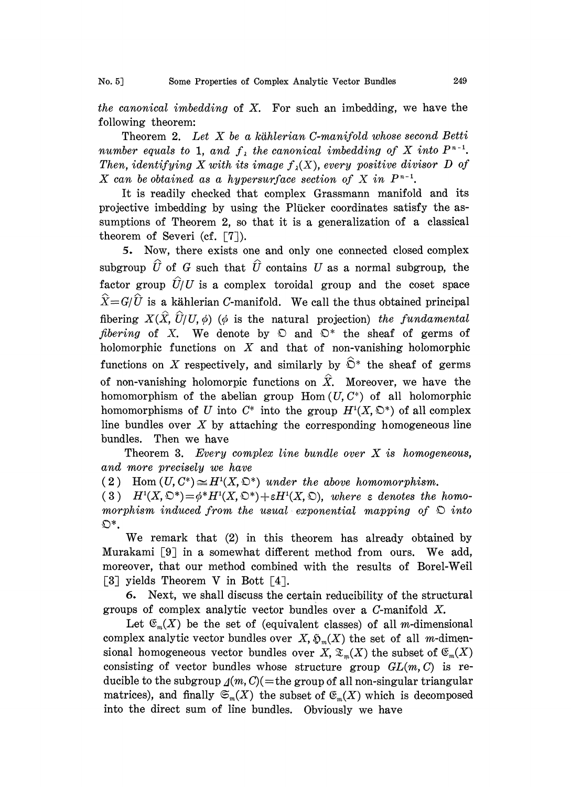the canonical imbedding of  $X$ . For such an imbedding, we have the following theorem:

Theorem 2. Let  $X$  be a kählerian C-manifold whose second Betti number equals to 1, and  $f_{\lambda}$  the canonical imbedding of X into  $P^{n-1}$ . Then, identifying X with its image  $f_{\lambda}(X)$ , every positive divisor D of X can be obtained as a hypersurface section of X in  $P^{n-1}$ .

It is readily checked that complex Grassmann manifold and its projective imbedding by using the Plücker coordinates satisfy the assumptions of Theorem 2, so that it is a generalization of a classical theorem of Severi (cf.  $\lceil 7 \rceil$ ).

5. Now, there exists one and only one connected closed complex subgroup  $\hat{U}$  of G such that  $\hat{U}$  contains U as a normal subgroup, the factor group  $\hat{U}/U$  is a complex toroidal group and the coset space  $\widehat{X}=G/\widehat{U}$  is a kählerian C-manifold. We call the thus obtained principal fibering  $X(\hat{X}, \hat{U}/U, \phi)$  ( $\phi$  is the natural projection) the fundamental fibering of X. We denote by  $\mathcal{D}$  and  $\mathcal{D}^*$  the sheaf of germs of holomorphic functions on  $X$  and that of non-vanishing holomorphic functions on X respectively, and similarly by  $\hat{\mathbb{O}}^*$  the sheaf of germs of non-vanishing holomorpic functions on  $\hat{X}$ . Moreover, we have the homomorphism of the abelian group Hom  $(U, C^*)$  of all holomorphic homomorphisms of U into  $C^*$  into the group  $H^1(X, \mathbb{C}^*)$  of all complex line bundles over  $X$  by attaching the corresponding homogeneous line bundles. Then we have

Theorem 3. Every complex line bundle over  $X$  is homogeneous, and more precisely we have

(2) Hom  $(U, C^*) \cong H^1(X, \mathbb{C}^*)$  under the above homomorphism.

(3)  $H^{1}(X, \mathbb{O}^{*}) = \phi^{*}H^{1}(X, \mathbb{O}^{*}) + \varepsilon H^{1}(X, \mathbb{O})$ , where  $\varepsilon$  denotes the homomorphism induced from the usual exponential mapping of  $\mathfrak D$  into  $\mathfrak{O}^*$ .

We remark that (2) in this theorem has already obtained by Murakami [9] in a somewhat different method from ours. We add, moreover, that our method combined with the results of Borel-Weil [3] yields Theorem V in Bott  $[4]$ .

5. Next, we shall discuss the certain reducibility of the structural groups of complex analytic vector bundles over a C-manifold X.

Let  $\mathfrak{E}_m(X)$  be the set of (equivalent classes) of all m-dimensional complex analytic vector bundles over  $X$ ,  $\mathfrak{D}_m(X)$  the set of all m-dimensional homogeneous vector bundles over X,  $\mathfrak{T}_{m}(X)$  the subset of  $\mathfrak{C}_{m}(X)$ consisting of vector bundles whose structure group  $GL(m, C)$  is reducible to the subgroup  $\Delta(m, C)$ (=the group of all non-singular triangular matrices), and finally  $\mathfrak{S}_m(X)$  the subset of  $\mathfrak{E}_m(X)$  which is decomposed into the direct sum of line bundles. Obviously we have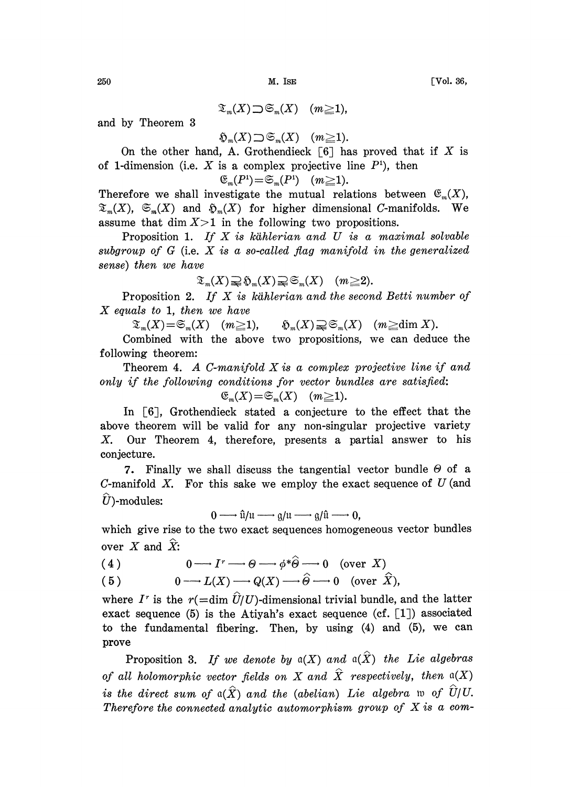$$
\mathfrak{T}_m(X)\supset \mathfrak{S}_m(X) \quad (m\geq 1),
$$

and by Theorem 3

$$
\mathfrak{H}_m(X)\supset \mathfrak{S}_m(X) \quad (m\geq 1).
$$

On the other hand, A. Grothendieck  $\lceil 6 \rceil$  has proved that if X is of 1-dimension (i.e. X is a complex projective line  $P<sup>i</sup>$ ), then

$$
\mathfrak{E}_m(P^1) = \mathfrak{S}_m(P^1) \quad (m \geq 1).
$$

Therefore we shall investigate the mutual relations between  $\mathfrak{E}_m(X)$ ,  $\mathfrak{T}_{m}(X), \mathfrak{S}_{m}(X)$  and  $\mathfrak{H}_{m}(X)$  for higher dimensional C-manifolds. We assume that dim  $X>1$  in the following two propositions.

Proposition 1. If  $X$  is kählerian and  $U$  is a maximal solvable subgroup of  $G$  (i.e.  $X$  is a so-called flag manifold in the generalized sense) then we have

$$
\mathfrak{S}_m(X) \supsetneq \mathfrak{S}_m(X) \supsetneq \mathfrak{S}_m(X) \quad (m \geq 2).
$$

Proposition 2. If X is kählerian and the second Betti number of  $X$  equals to 1, then we have

 $\mathfrak{X}_m(X) = \mathfrak{S}_m(X)$   $(m \geq 1)$ ,  $\mathfrak{H}_m(X) \supsetneq \mathfrak{S}_m(X)$   $(m \geq \text{dim }X)$ .

Combined with the above two propositions, we can deduce the following theorem:

Theorem 4. A C-manifold  $X$  is a complex projective line if and only if the following conditions for vector bundles are satisfied:

$$
\mathfrak{E}_m(X) = \widetilde{\mathfrak{S}}_m(X) \quad (m \geq 1).
$$

In [6], Grothendieck stated a conjecture to the effect that the above theorem will be valid for any non-singular projective variety X. Our Theorem 4, therefore, presents a partial answer to his conjeeture.

7. Finally we shall discuss the tangential vector bundle  $\Theta$  of a C-manifold X. For this sake we employ the exact sequence of  $U$  (and  $\hat{U}$ )-modules:

$$
0 \longrightarrow \hat{u}/u \longrightarrow g/u \longrightarrow g/\hat{u} \longrightarrow 0,
$$

which give rise to the two exact sequences homogeneous vector bundles<br>
over X and  $\hat{X}$ :<br>
(4)  $0 \longrightarrow I^r \longrightarrow \Theta \longrightarrow \phi^* \hat{\Theta} \longrightarrow 0$  (over X)<br>
(5)  $0 \longrightarrow L(X) \longrightarrow \Omega(X) \longrightarrow \hat{\Theta} \longrightarrow 0$  (over  $\hat{X}$ ). over X and  $\hat{X}$ :

(4) 
$$
0 \longrightarrow I^r \longrightarrow \Theta \longrightarrow \phi^* \widehat{\Theta} \longrightarrow 0 \quad \text{(over } X)
$$

(5) 
$$
0 \longrightarrow L(X) \longrightarrow Q(X) \longrightarrow \widehat{\Theta} \longrightarrow 0 \quad \text{(over } \widehat{X}),
$$

where I<sup>r</sup> is the  $r(=\dim \hat{U}/U)$ -dimensional trivial bundle, and the latter exact sequence (5) is the Atiyah's exact sequence (cf.  $[1]$ ) associated to the fundamental fibering. Then, by using (4) and (5), we can prove

Proposition 3. If we denote by  $\mathfrak{a}(X)$  and  $\mathfrak{a}(\widehat{X})$  the Lie algebras of all holomorphic vector fields on X and  $\hat{X}$  respectively, then  $\mathfrak{a}(X)$ is the direct sum of  $\alpha(\hat{X})$  and the (abelian) Lie algebra w of  $\hat{U}/U$ . Therefore the connected analytic automorphism group of  $X$  is a com-